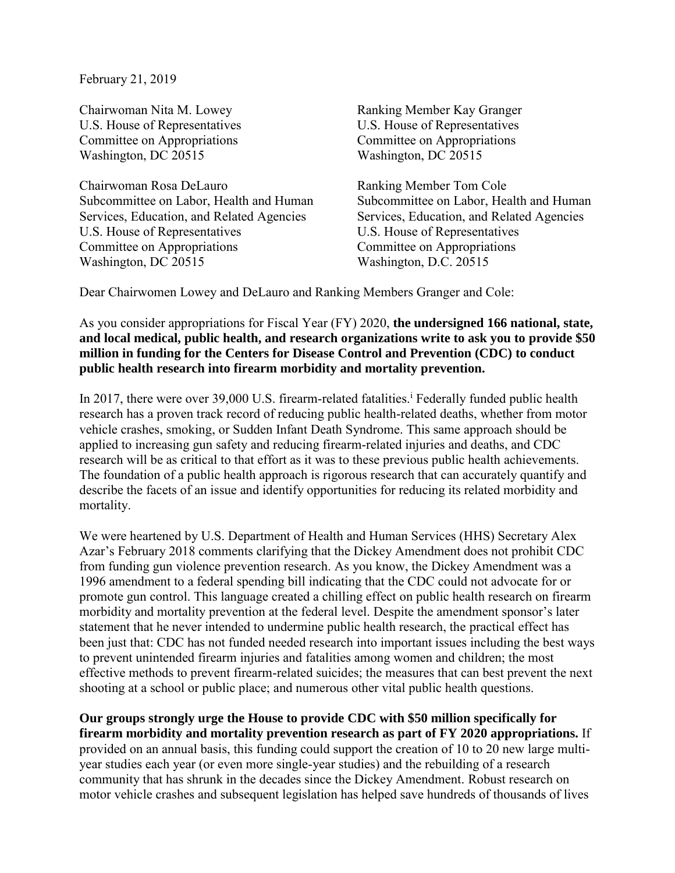February 21, 2019

Chairwoman Nita M. Lowey Ranking Member Kay Granger U.S. House of Representatives U.S. House of Representatives Committee on Appropriations Committee on Appropriations Washington, DC 20515 Washington, DC 20515

Chairwoman Rosa DeLauro Ranking Member Tom Cole Services, Education, and Related Agencies Services, Education, and Related Agencies U.S. House of Representatives U.S. House of Representatives Committee on Appropriations<br>
Washington, D.C. 20515<br>
Washington, D.C. 20515

Subcommittee on Labor, Health and Human Subcommittee on Labor, Health and Human Washington, D.C. 20515

Dear Chairwomen Lowey and DeLauro and Ranking Members Granger and Cole:

As you consider appropriations for Fiscal Year (FY) 2020, **the undersigned 166 national, state, and local medical, public health, and research organizations write to ask you to provide \$50 million in funding for the Centers for Disease Control and Prevention (CDC) to conduct public health research into firearm morbidity and mortality prevention.**

In 2017, there were over 39,000 U.S. firearm-related fatalities.<sup>1</sup> Federally funded public health research has a proven track record of reducing public health-related deaths, whether from motor vehicle crashes, smoking, or Sudden Infant Death Syndrome. This same approach should be applied to increasing gun safety and reducing firearm-related injuries and deaths, and CDC research will be as critical to that effort as it was to these previous public health achievements. The foundation of a public health approach is rigorous research that can accurately quantify and describe the facets of an issue and identify opportunities for reducing its related morbidity and mortality.

We were heartened by U.S. Department of Health and Human Services (HHS) Secretary Alex Azar's February 2018 comments clarifying that the Dickey Amendment does not prohibit CDC from funding gun violence prevention research. As you know, the Dickey Amendment was a 1996 amendment to a federal spending bill indicating that the CDC could not advocate for or promote gun control. This language created a chilling effect on public health research on firearm morbidity and mortality prevention at the federal level. Despite the amendment sponsor's later statement that he never intended to undermine public health research, the practical effect has been just that: CDC has not funded needed research into important issues including the best ways to prevent unintended firearm injuries and fatalities among women and children; the most effective methods to prevent firearm-related suicides; the measures that can best prevent the next shooting at a school or public place; and numerous other vital public health questions.

**Our groups strongly urge the House to provide CDC with \$50 million specifically for firearm morbidity and mortality prevention research as part of FY 2020 appropriations.** If provided on an annual basis, this funding could support the creation of 10 to 20 new large multiyear studies each year (or even more single-year studies) and the rebuilding of a research community that has shrunk in the decades since the Dickey Amendment. Robust research on motor vehicle crashes and subsequent legislation has helped save hundreds of thousands of lives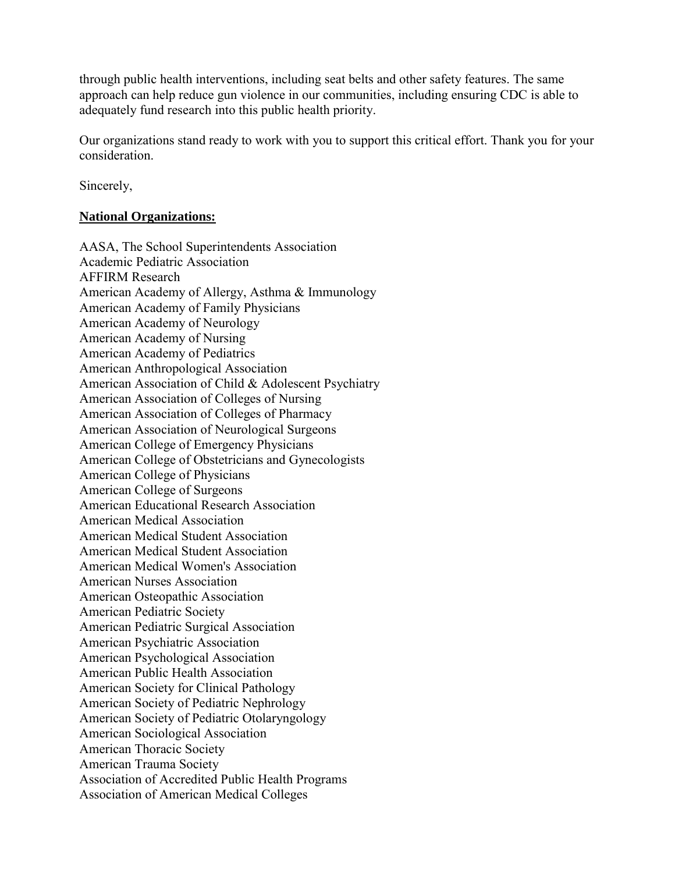through public health interventions, including seat belts and other safety features. The same approach can help reduce gun violence in our communities, including ensuring CDC is able to adequately fund research into this public health priority.

Our organizations stand ready to work with you to support this critical effort. Thank you for your consideration.

Sincerely,

## **National Organizations:**

AASA, The School Superintendents Association Academic Pediatric Association AFFIRM Research American Academy of Allergy, Asthma & Immunology American Academy of Family Physicians American Academy of Neurology American Academy of Nursing American Academy of Pediatrics American Anthropological Association American Association of Child & Adolescent Psychiatry American Association of Colleges of Nursing American Association of Colleges of Pharmacy American Association of Neurological Surgeons American College of Emergency Physicians American College of Obstetricians and Gynecologists American College of Physicians American College of Surgeons American Educational Research Association American Medical Association American Medical Student Association American Medical Student Association American Medical Women's Association American Nurses Association American Osteopathic Association American Pediatric Society American Pediatric Surgical Association American Psychiatric Association American Psychological Association American Public Health Association American Society for Clinical Pathology American Society of Pediatric Nephrology American Society of Pediatric Otolaryngology American Sociological Association American Thoracic Society American Trauma Society Association of Accredited Public Health Programs Association of American Medical Colleges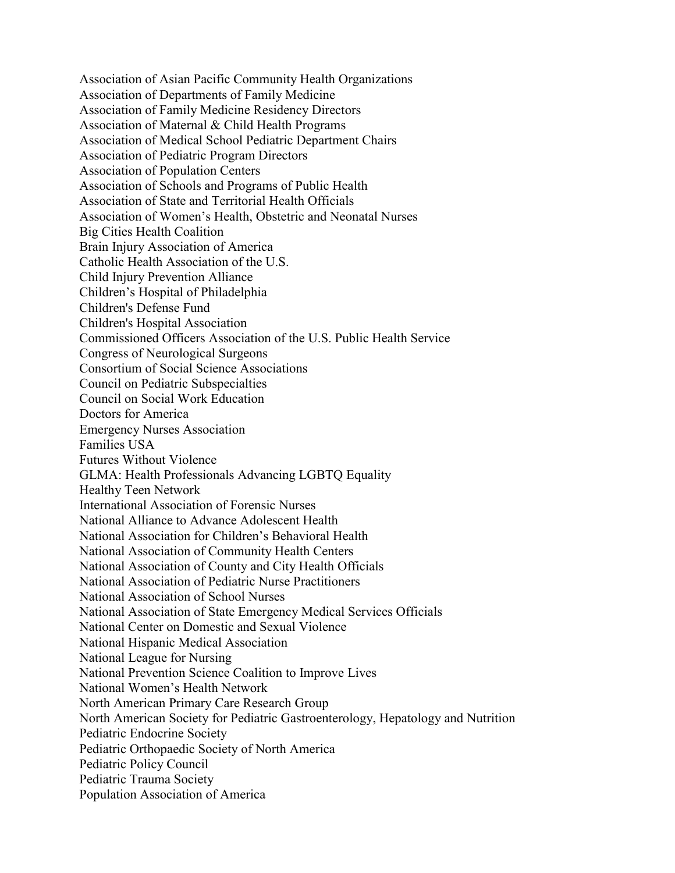Association of Asian Pacific Community Health Organizations Association of Departments of Family Medicine Association of Family Medicine Residency Directors Association of Maternal & Child Health Programs Association of Medical School Pediatric Department Chairs Association of Pediatric Program Directors Association of Population Centers Association of Schools and Programs of Public Health Association of State and Territorial Health Officials Association of Women's Health, Obstetric and Neonatal Nurses Big Cities Health Coalition Brain Injury Association of America Catholic Health Association of the U.S. Child Injury Prevention Alliance Children's Hospital of Philadelphia Children's Defense Fund Children's Hospital Association Commissioned Officers Association of the U.S. Public Health Service Congress of Neurological Surgeons Consortium of Social Science Associations Council on Pediatric Subspecialties Council on Social Work Education Doctors for America Emergency Nurses Association Families USA Futures Without Violence GLMA: Health Professionals Advancing LGBTQ Equality Healthy Teen Network International Association of Forensic Nurses National Alliance to Advance Adolescent Health National Association for Children's Behavioral Health National Association of Community Health Centers National Association of County and City Health Officials National Association of Pediatric Nurse Practitioners National Association of School Nurses National Association of State Emergency Medical Services Officials National Center on Domestic and Sexual Violence National Hispanic Medical Association National League for Nursing National Prevention Science Coalition to Improve Lives National Women's Health Network North American Primary Care Research Group North American Society for Pediatric Gastroenterology, Hepatology and Nutrition Pediatric Endocrine Society Pediatric Orthopaedic Society of North America Pediatric Policy Council Pediatric Trauma Society Population Association of America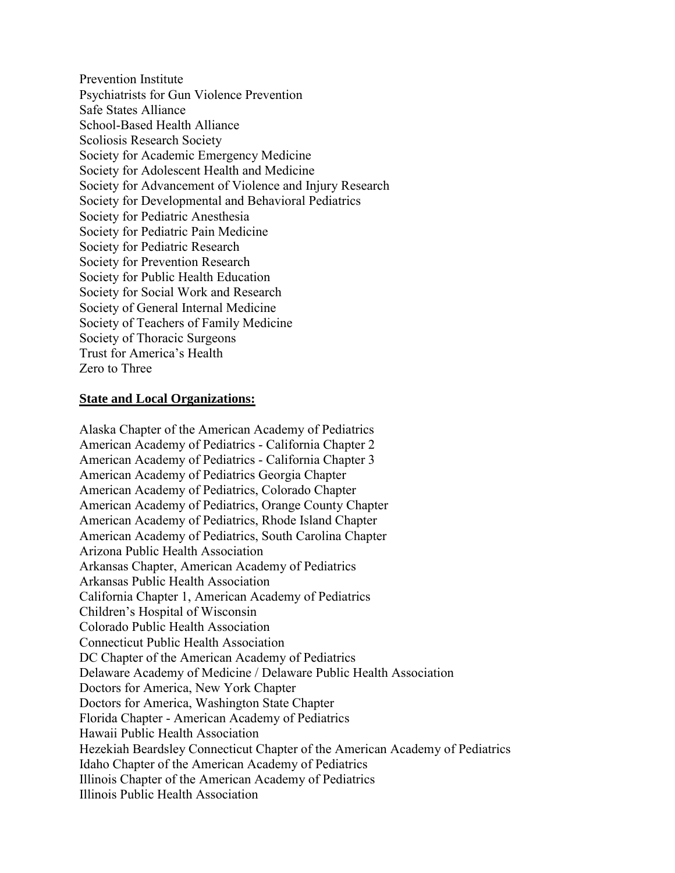Prevention Institute Psychiatrists for Gun Violence Prevention Safe States Alliance School-Based Health Alliance Scoliosis Research Society Society for Academic Emergency Medicine Society for Adolescent Health and Medicine Society for Advancement of Violence and Injury Research Society for Developmental and Behavioral Pediatrics Society for Pediatric Anesthesia Society for Pediatric Pain Medicine Society for Pediatric Research Society for Prevention Research Society for Public Health Education Society for Social Work and Research Society of General Internal Medicine Society of Teachers of Family Medicine Society of Thoracic Surgeons Trust for America's Health Zero to Three

## **State and Local Organizations:**

Alaska Chapter of the American Academy of Pediatrics American Academy of Pediatrics - California Chapter 2 American Academy of Pediatrics - California Chapter 3 American Academy of Pediatrics Georgia Chapter American Academy of Pediatrics, Colorado Chapter American Academy of Pediatrics, Orange County Chapter American Academy of Pediatrics, Rhode Island Chapter American Academy of Pediatrics, South Carolina Chapter Arizona Public Health Association Arkansas Chapter, American Academy of Pediatrics Arkansas Public Health Association California Chapter 1, American Academy of Pediatrics Children's Hospital of Wisconsin Colorado Public Health Association Connecticut Public Health Association DC Chapter of the American Academy of Pediatrics Delaware Academy of Medicine / Delaware Public Health Association Doctors for America, New York Chapter Doctors for America, Washington State Chapter Florida Chapter - American Academy of Pediatrics Hawaii Public Health Association Hezekiah Beardsley Connecticut Chapter of the American Academy of Pediatrics Idaho Chapter of the American Academy of Pediatrics Illinois Chapter of the American Academy of Pediatrics Illinois Public Health Association